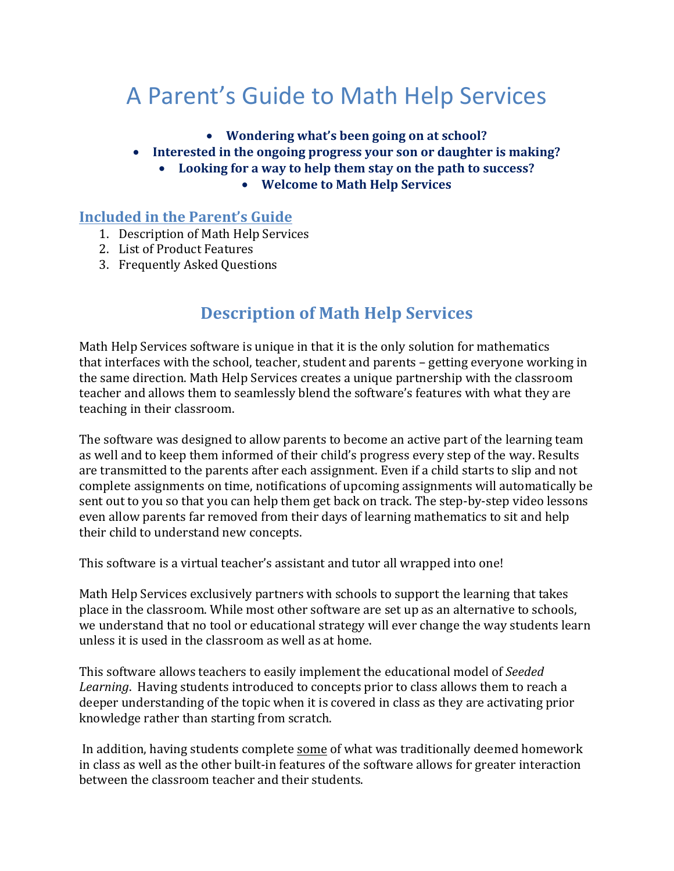# A Parent's Guide to Math Help Services

- Wondering what's been going on at school?
- Interested in the ongoing progress your son or daughter is making?
	- Looking for a way to help them stay on the path to success?
		- Welcome to Math Help Services

### **Included in the Parent's Guide**

- 1. Description of Math Help Services
- 2. List of Product Features
- 3. Frequently Asked Questions

### **Description of Math Help Services**

Math Help Services software is unique in that it is the only solution for mathematics that interfaces with the school, teacher, student and parents – getting everyone working in the same direction. Math Help Services creates a unique partnership with the classroom teacher and allows them to seamlessly blend the software's features with what they are teaching in their classroom.

The software was designed to allow parents to become an active part of the learning team as well and to keep them informed of their child's progress every step of the way. Results are transmitted to the parents after each assignment. Even if a child starts to slip and not complete assignments on time, notifications of upcoming assignments will automatically be sent out to you so that you can help them get back on track. The step-by-step video lessons even allow parents far removed from their days of learning mathematics to sit and help their child to understand new concepts.

This software is a virtual teacher's assistant and tutor all wrapped into one!

Math Help Services exclusively partners with schools to support the learning that takes place in the classroom. While most other software are set up as an alternative to schools, we understand that no tool or educational strategy will ever change the way students learn unless it is used in the classroom as well as at home.

This software allows teachers to easily implement the educational model of *Seeded* Learning. Having students introduced to concepts prior to class allows them to reach a deeper understanding of the topic when it is covered in class as they are activating prior knowledge rather than starting from scratch.

In addition, having students complete some of what was traditionally deemed homework in class as well as the other built-in features of the software allows for greater interaction between the classroom teacher and their students.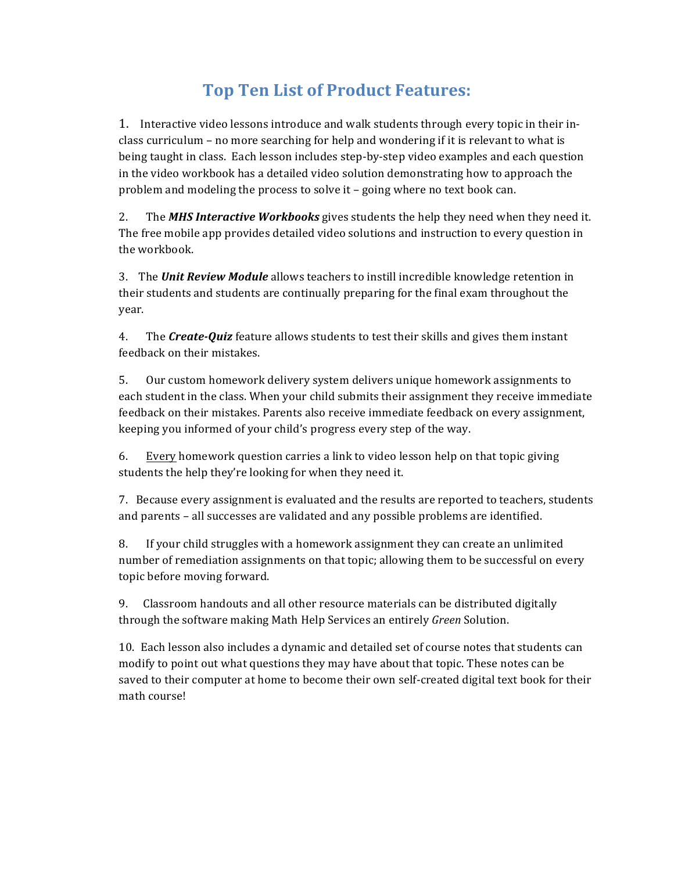### **Top Ten List of Product Features:**

1. Interactive video lessons introduce and walk students through every topic in their inclass curriculum – no more searching for help and wondering if it is relevant to what is being taught in class. Each lesson includes step-by-step video examples and each question in the video workbook has a detailed video solution demonstrating how to approach the problem and modeling the process to solve it  $-$  going where no text book can.

2. The **MHS Interactive Workbooks** gives students the help they need when they need it. The free mobile app provides detailed video solutions and instruction to every question in the workbook.

3. The *Unit Review Module* allows teachers to instill incredible knowledge retention in their students and students are continually preparing for the final exam throughout the year.

4. The **Create-Quiz** feature allows students to test their skills and gives them instant feedback on their mistakes.

5. Our custom homework delivery system delivers unique homework assignments to each student in the class. When your child submits their assignment they receive immediate feedback on their mistakes. Parents also receive immediate feedback on every assignment, keeping you informed of your child's progress every step of the way.

6. Every homework question carries a link to video lesson help on that topic giving students the help they're looking for when they need it.

7. Because every assignment is evaluated and the results are reported to teachers, students and parents – all successes are validated and any possible problems are identified.

8. If your child struggles with a homework assignment they can create an unlimited number of remediation assignments on that topic; allowing them to be successful on every topic before moving forward.

9. Classroom handouts and all other resource materials can be distributed digitally through the software making Math Help Services an entirely *Green* Solution.

10. Each lesson also includes a dynamic and detailed set of course notes that students can modify to point out what questions they may have about that topic. These notes can be saved to their computer at home to become their own self-created digital text book for their math course!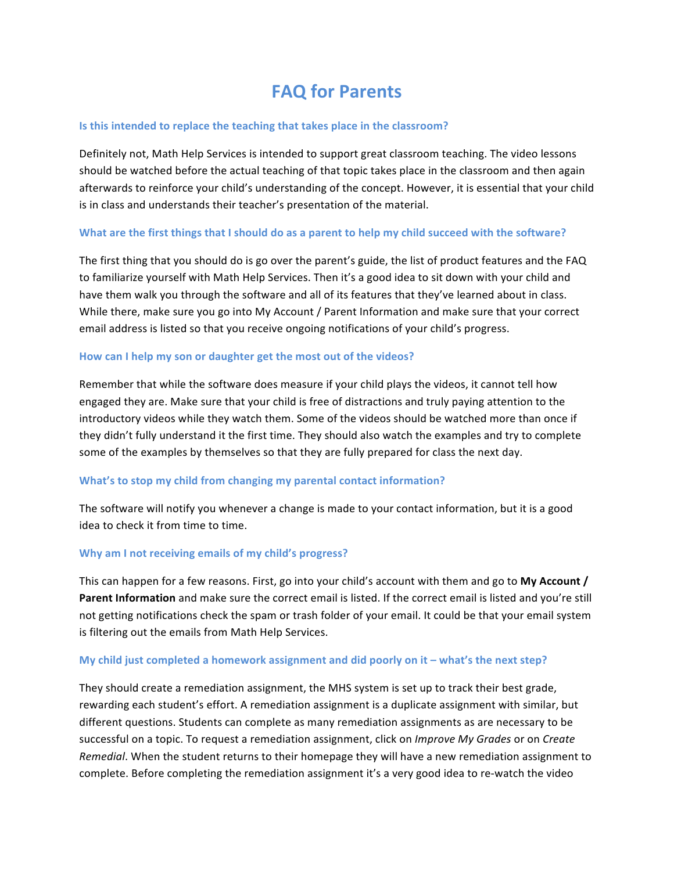# **FAQ for Parents**

#### **Is this intended to replace the teaching that takes place in the classroom?**

Definitely not, Math Help Services is intended to support great classroom teaching. The video lessons should be watched before the actual teaching of that topic takes place in the classroom and then again afterwards to reinforce your child's understanding of the concept. However, it is essential that your child is in class and understands their teacher's presentation of the material.

#### **What are the first things that I should do as a parent to help my child succeed with the software?**

The first thing that you should do is go over the parent's guide, the list of product features and the FAQ to familiarize yourself with Math Help Services. Then it's a good idea to sit down with your child and have them walk you through the software and all of its features that they've learned about in class. While there, make sure you go into My Account / Parent Information and make sure that your correct email address is listed so that you receive ongoing notifications of your child's progress.

#### How can I help my son or daughter get the most out of the videos?

Remember that while the software does measure if your child plays the videos, it cannot tell how engaged they are. Make sure that your child is free of distractions and truly paying attention to the introductory videos while they watch them. Some of the videos should be watched more than once if they didn't fully understand it the first time. They should also watch the examples and try to complete some of the examples by themselves so that they are fully prepared for class the next day.

#### **What's to stop my child from changing my parental contact information?**

The software will notify you whenever a change is made to your contact information, but it is a good idea to check it from time to time.

#### **Why am I not receiving emails of my child's progress?**

This can happen for a few reasons. First, go into your child's account with them and go to My Account / **Parent Information** and make sure the correct email is listed. If the correct email is listed and you're still not getting notifications check the spam or trash folder of your email. It could be that your email system is filtering out the emails from Math Help Services.

#### **My child just completed a homework assignment and did poorly on it – what's the next step?**

They should create a remediation assignment, the MHS system is set up to track their best grade, rewarding each student's effort. A remediation assignment is a duplicate assignment with similar, but different questions. Students can complete as many remediation assignments as are necessary to be successful on a topic. To request a remediation assignment, click on *Improve My Grades* or on *Create Remedial*. When the student returns to their homepage they will have a new remediation assignment to complete. Before completing the remediation assignment it's a very good idea to re-watch the video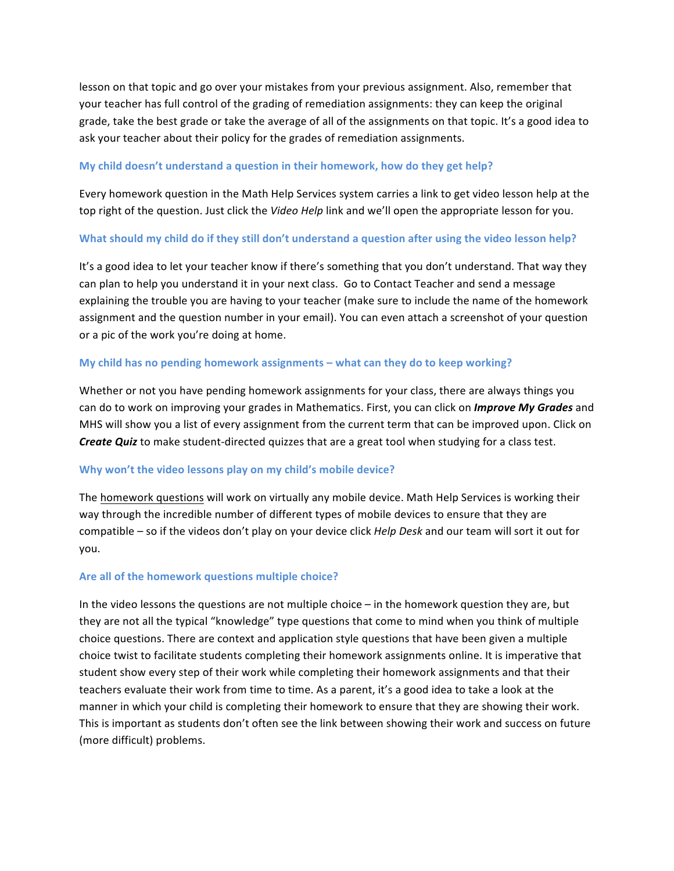lesson on that topic and go over your mistakes from your previous assignment. Also, remember that your teacher has full control of the grading of remediation assignments: they can keep the original grade, take the best grade or take the average of all of the assignments on that topic. It's a good idea to ask your teacher about their policy for the grades of remediation assignments.

#### **My child doesn't understand a question in their homework, how do they get help?**

Every homework question in the Math Help Services system carries a link to get video lesson help at the top right of the question. Just click the *Video Help* link and we'll open the appropriate lesson for you.

#### What should my child do if they still don't understand a question after using the video lesson help?

It's a good idea to let your teacher know if there's something that you don't understand. That way they can plan to help you understand it in your next class. Go to Contact Teacher and send a message explaining the trouble you are having to your teacher (make sure to include the name of the homework assignment and the question number in your email). You can even attach a screenshot of your question or a pic of the work you're doing at home.

#### **My child has no pending homework assignments – what can they do to keep working?**

Whether or not you have pending homework assignments for your class, there are always things you can do to work on improving your grades in Mathematics. First, you can click on *Improve My Grades* and MHS will show you a list of every assignment from the current term that can be improved upon. Click on **Create Quiz** to make student-directed quizzes that are a great tool when studying for a class test.

#### **Why won't the video lessons play on my child's mobile device?**

The homework questions will work on virtually any mobile device. Math Help Services is working their way through the incredible number of different types of mobile devices to ensure that they are compatible – so if the videos don't play on your device click *Help Desk* and our team will sort it out for you.

#### Are all of the homework questions multiple choice?

In the video lessons the questions are not multiple choice – in the homework question they are, but they are not all the typical "knowledge" type questions that come to mind when you think of multiple choice questions. There are context and application style questions that have been given a multiple choice twist to facilitate students completing their homework assignments online. It is imperative that student show every step of their work while completing their homework assignments and that their teachers evaluate their work from time to time. As a parent, it's a good idea to take a look at the manner in which your child is completing their homework to ensure that they are showing their work. This is important as students don't often see the link between showing their work and success on future (more difficult) problems.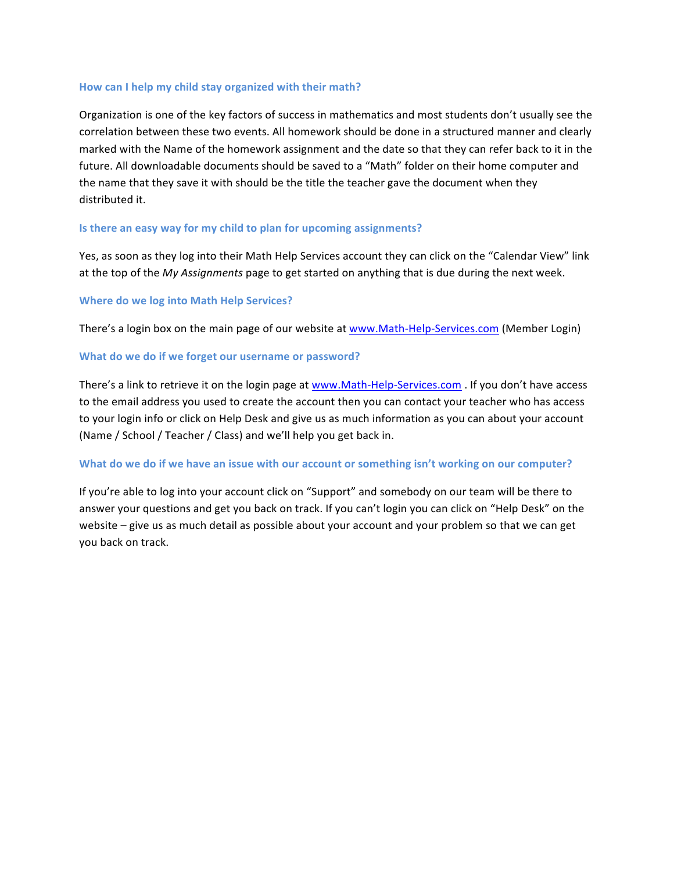#### How can I help my child stay organized with their math?

Organization is one of the key factors of success in mathematics and most students don't usually see the correlation between these two events. All homework should be done in a structured manner and clearly marked with the Name of the homework assignment and the date so that they can refer back to it in the future. All downloadable documents should be saved to a "Math" folder on their home computer and the name that they save it with should be the title the teacher gave the document when they distributed it.

#### **Is there an easy way for my child to plan for upcoming assignments?**

Yes, as soon as they log into their Math Help Services account they can click on the "Calendar View" link at the top of the *My Assignments* page to get started on anything that is due during the next week.

#### **Where do we log into Math Help Services?**

There's a login box on the main page of our website at www.Math-Help-Services.com (Member Login)

#### **What do we do if we forget our username or password?**

There's a link to retrieve it on the login page at www.Math-Help-Services.com . If you don't have access to the email address you used to create the account then you can contact your teacher who has access to your login info or click on Help Desk and give us as much information as you can about your account (Name / School / Teacher / Class) and we'll help you get back in.

#### What do we do if we have an issue with our account or something isn't working on our computer?

If you're able to log into your account click on "Support" and somebody on our team will be there to answer your questions and get you back on track. If you can't login you can click on "Help Desk" on the website – give us as much detail as possible about your account and your problem so that we can get you back on track.